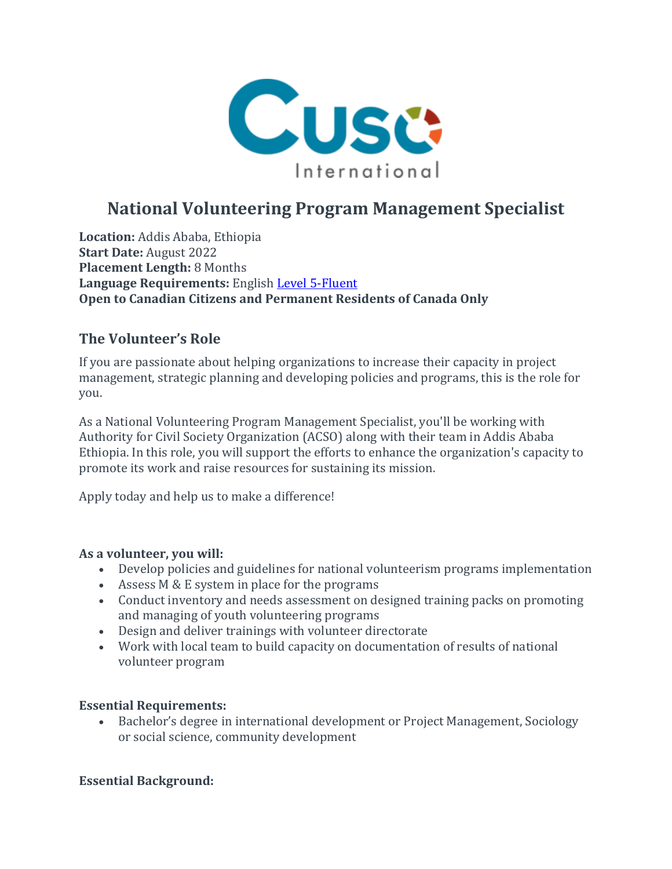

# **National Volunteering Program Management Specialist**

**Location:** Addis Ababa, Ethiopia **Start Date:** August 2022 **Placement Length:** 8 Months **Language Requirements:** English Level [5-Fluent](https://apply.cusointernational.org/language-requirements/) **Open to Canadian Citizens and Permanent Residents of Canada Only**

# **The Volunteer's Role**

If you are passionate about helping organizations to increase their capacity in project management, strategic planning and developing policies and programs, this is the role for you.

As a National Volunteering Program Management Specialist, you'll be working with Authority for Civil Society Organization (ACSO) along with their team in Addis Ababa Ethiopia. In this role, you will support the efforts to enhance the organization's capacity to promote its work and raise resources for sustaining its mission.

Apply today and help us to make a difference!

#### **As a volunteer, you will:**

- Develop policies and guidelines for national volunteerism programs implementation
- Assess M & E system in place for the programs
- Conduct inventory and needs assessment on designed training packs on promoting and managing of youth volunteering programs
- Design and deliver trainings with volunteer directorate
- Work with local team to build capacity on documentation of results of national volunteer program

#### **Essential Requirements:**

• Bachelor's degree in international development or Project Management, Sociology or social science, community development

# **Essential Background:**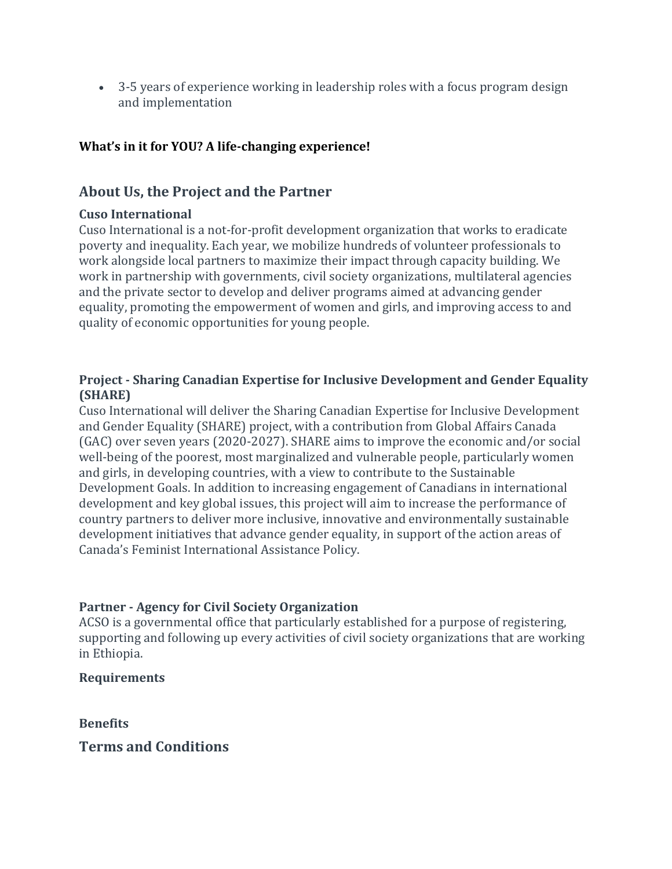• 3-5 years of experience working in leadership roles with a focus program design and implementation

# **What's in it for YOU? A life-changing experience!**

# **About Us, the Project and the Partner**

#### **Cuso International**

Cuso International is a not-for-profit development organization that works to eradicate poverty and inequality. Each year, we mobilize hundreds of volunteer professionals to work alongside local partners to maximize their impact through capacity building. We work in partnership with governments, civil society organizations, multilateral agencies and the private sector to develop and deliver programs aimed at advancing gender equality, promoting the empowerment of women and girls, and improving access to and quality of economic opportunities for young people.

#### **Project - Sharing Canadian Expertise for Inclusive Development and Gender Equality (SHARE)**

Cuso International will deliver the Sharing Canadian Expertise for Inclusive Development and Gender Equality (SHARE) project, with a contribution from Global Affairs Canada (GAC) over seven years (2020-2027). SHARE aims to improve the economic and/or social well-being of the poorest, most marginalized and vulnerable people, particularly women and girls, in developing countries, with a view to contribute to the Sustainable Development Goals. In addition to increasing engagement of Canadians in international development and key global issues, this project will aim to increase the performance of country partners to deliver more inclusive, innovative and environmentally sustainable development initiatives that advance gender equality, in support of the action areas of Canada's Feminist International Assistance Policy.

# **Partner - Agency for Civil Society Organization**

ACSO is a governmental office that particularly established for a purpose of registering, supporting and following up every activities of civil society organizations that are working in Ethiopia.

# **Requirements**

**Benefits**

**Terms and Conditions**